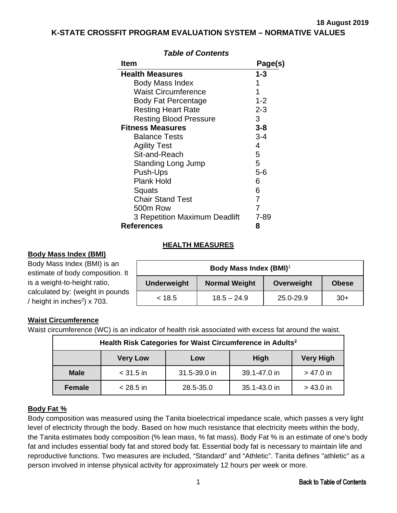<span id="page-0-0"></span>**K-STATE CROSSFIT PROGRAM EVALUATION SYSTEM – NORMATIVE VALUES**

| ltem                          | Page(s) |
|-------------------------------|---------|
| <b>Health Measures</b>        | 1-3     |
| Body Mass Index               |         |
| <b>Waist Circumference</b>    | 1       |
| <b>Body Fat Percentage</b>    | $1 - 2$ |
| <b>Resting Heart Rate</b>     | $2 - 3$ |
| <b>Resting Blood Pressure</b> | З       |
| Fitness Measures              | $3 - 8$ |
| <b>Balance Tests</b>          | $3 - 4$ |
| <b>Agility Test</b>           | 4       |
| Sit-and-Reach                 | 5       |
| <b>Standing Long Jump</b>     | 5       |
| Push-Ups                      | 5-6     |
| <b>Plank Hold</b>             | 6       |
| Squats                        | 6       |
| <b>Chair Stand Test</b>       | 7       |
| 500m Row                      |         |
| 3 Repetition Maximum Deadlift | 7-89    |
| <b>References</b>             | 8       |

# *Table of Contents*

### **HEALTH MEASURES**

### **Body Mass Index (BMI)**

Body Mass Index (BMI) is an estimate of body composition. It is a weight-to-height ratio, calculated by: (weight in pounds / height in inches $^{2}$ ) x 703.

| Body Mass Index (BMI) <sup>1</sup> |                      |            |              |  |  |  |  |
|------------------------------------|----------------------|------------|--------------|--|--|--|--|
| <b>Underweight</b>                 | <b>Normal Weight</b> | Overweight | <b>Obese</b> |  |  |  |  |
| < 18.5                             | $18.5 - 24.9$        | 25.0-29.9  | $30+$        |  |  |  |  |

# **Waist Circumference**

Waist circumference (WC) is an indicator of health risk associated with excess fat around the waist.

| Health Risk Categories for Waist Circumference in Adults <sup>2</sup> |                                                           |              |              |             |  |  |  |  |
|-----------------------------------------------------------------------|-----------------------------------------------------------|--------------|--------------|-------------|--|--|--|--|
|                                                                       | <b>Very Low</b><br><b>Very High</b><br><b>High</b><br>Low |              |              |             |  |  |  |  |
| <b>Male</b>                                                           | $<$ 31.5 in                                               | 31.5-39.0 in | 39.1-47.0 in | $> 47.0$ in |  |  |  |  |
| <b>Female</b>                                                         | $< 28.5$ in                                               | 28.5-35.0    | 35.1-43.0 in | $> 43.0$ in |  |  |  |  |

# **Body Fat %**

Body composition was measured using the Tanita bioelectrical impedance scale, which passes a very light level of electricity through the body. Based on how much resistance that electricity meets within the body, the Tanita estimates body composition (% lean mass, % fat mass). Body Fat % is an estimate of one's body fat and includes essential body fat and stored body fat. Essential body fat is necessary to maintain life and reproductive functions. Two measures are included, "Standard" and "Athletic". Tanita defines "athletic" as a person involved in intense physical activity for approximately 12 hours per week or more.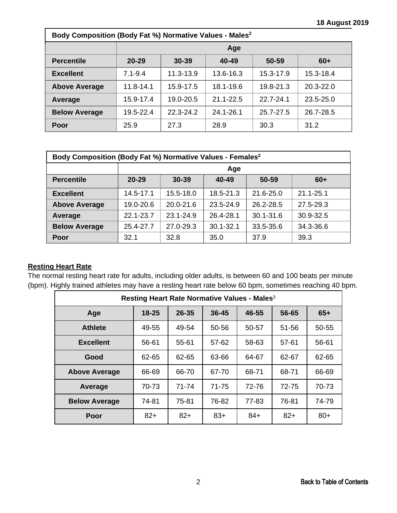<span id="page-1-0"></span>

| Body Composition (Body Fat %) Normative Values - Males <sup>2</sup> |               |           |               |               |           |  |  |  |
|---------------------------------------------------------------------|---------------|-----------|---------------|---------------|-----------|--|--|--|
|                                                                     |               | Age       |               |               |           |  |  |  |
| <b>Percentile</b>                                                   | $20 - 29$     | $30 - 39$ | 40-49         | 50-59         | $60+$     |  |  |  |
| <b>Excellent</b>                                                    | $7.1 - 9.4$   | 11.3-13.9 | 13.6-16.3     | 15.3-17.9     | 15.3-18.4 |  |  |  |
| <b>Above Average</b>                                                | $11.8 - 14.1$ | 15.9-17.5 | 18.1-19.6     | 19.8-21.3     | 20.3-22.0 |  |  |  |
| Average                                                             | 15.9-17.4     | 19.0-20.5 | $21.1 - 22.5$ | $22.7 - 24.1$ | 23.5-25.0 |  |  |  |
| <b>Below Average</b>                                                | 19.5-22.4     | 22.3-24.2 | 24.1-26.1     | 25.7-27.5     | 26.7-28.5 |  |  |  |
| Poor                                                                | 25.9          | 27.3      | 28.9          | 30.3          | 31.2      |  |  |  |

| Body Composition (Body Fat %) Normative Values - Females <sup>2</sup> |           |               |               |               |               |  |  |  |
|-----------------------------------------------------------------------|-----------|---------------|---------------|---------------|---------------|--|--|--|
|                                                                       |           | Age           |               |               |               |  |  |  |
| <b>Percentile</b>                                                     | $20 - 29$ | $30 - 39$     | 40-49         | 50-59         | $60+$         |  |  |  |
| <b>Excellent</b>                                                      | 14.5-17.1 | 15.5-18.0     | 18.5-21.3     | 21.6-25.0     | $21.1 - 25.1$ |  |  |  |
| <b>Above Average</b>                                                  | 19.0-20.6 | $20.0 - 21.6$ | 23.5-24.9     | 26.2-28.5     | 27.5-29.3     |  |  |  |
| Average                                                               | 22.1-23.7 | 23.1-24.9     | 26.4-28.1     | $30.1 - 31.6$ | 30.9-32.5     |  |  |  |
| <b>Below Average</b>                                                  | 25.4-27.7 | 27.0-29.3     | $30.1 - 32.1$ | 33.5-35.6     | 34.3-36.6     |  |  |  |
| Poor                                                                  | 32.1      | 32.8          | 35.0          | 37.9          | 39.3          |  |  |  |

# **Resting Heart Rate**

The normal resting heart rate for adults, including older adults, is between 60 and 100 beats per minute (bpm). Highly trained athletes may have a resting heart rate below 60 bpm, sometimes reaching 40 bpm.

| Resting Heart Rate Normative Values - Males <sup>3</sup> |           |                |           |       |       |       |  |  |
|----------------------------------------------------------|-----------|----------------|-----------|-------|-------|-------|--|--|
| Age                                                      | $18 - 25$ | 26-35          | $36 - 45$ | 46-55 | 56-65 | $65+$ |  |  |
| <b>Athlete</b>                                           | 49-55     | 49-54          | 50-56     | 50-57 | 51-56 | 50-55 |  |  |
| <b>Excellent</b>                                         | 56-61     | 55-61          | 57-62     | 58-63 | 57-61 | 56-61 |  |  |
| Good                                                     | 62-65     | 62-65<br>63-66 |           | 64-67 | 62-67 | 62-65 |  |  |
| <b>Above Average</b>                                     | 66-69     | 66-70<br>67-70 |           | 68-71 | 68-71 | 66-69 |  |  |
| Average                                                  | 70-73     | 71-74          | 71-75     | 72-76 | 72-75 | 70-73 |  |  |
| <b>Below Average</b>                                     | 74-81     | 75-81          | 76-82     | 77-83 | 76-81 | 74-79 |  |  |
| Poor                                                     | $82+$     | $82+$          | $83+$     | $84+$ | $82+$ | $80+$ |  |  |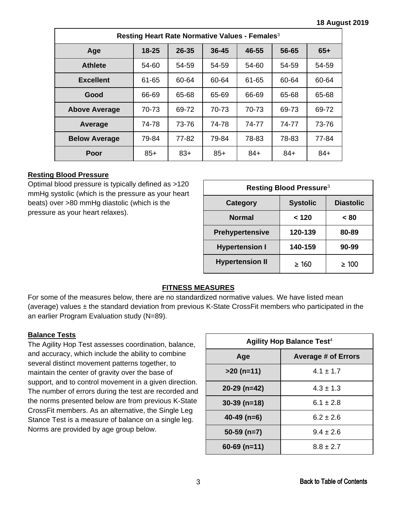<span id="page-2-0"></span>

| Resting Heart Rate Normative Values - Females <sup>3</sup> |           |       |           |         |       |       |  |  |
|------------------------------------------------------------|-----------|-------|-----------|---------|-------|-------|--|--|
| Age                                                        | $18 - 25$ | 26-35 | $36 - 45$ | 46-55   | 56-65 | $65+$ |  |  |
| <b>Athlete</b>                                             | 54-60     | 54-59 | 54-59     | $54-60$ | 54-59 | 54-59 |  |  |
| <b>Excellent</b>                                           | 61-65     | 60-64 | 60-64     | 61-65   | 60-64 | 60-64 |  |  |
| Good                                                       | 66-69     | 65-68 | 65-69     | 66-69   | 65-68 | 65-68 |  |  |
| <b>Above Average</b>                                       | 70-73     | 69-72 | 70-73     | 70-73   | 69-73 | 69-72 |  |  |
| Average                                                    | 74-78     | 73-76 | 74-78     | 74-77   | 74-77 | 73-76 |  |  |
| <b>Below Average</b>                                       | 79-84     | 77-82 | 79-84     | 78-83   | 78-83 | 77-84 |  |  |
| Poor                                                       | $85+$     | $83+$ | $85+$     | $84+$   | $84+$ | $84+$ |  |  |

### **Resting Blood Pressure**

Optimal blood pressure is typically defined as >120 mmHg systolic (which is the pressure as your heart beats) over >80 mmHg diastolic (which is the pressure as your heart relaxes).

| Resting Blood Pressure <sup>3</sup>             |            |            |  |  |  |  |
|-------------------------------------------------|------------|------------|--|--|--|--|
| <b>Systolic</b><br><b>Diastolic</b><br>Category |            |            |  |  |  |  |
| <b>Normal</b>                                   | < 120      | < 80       |  |  |  |  |
| <b>Prehypertensive</b>                          | 120-139    | 80-89      |  |  |  |  |
| <b>Hypertension I</b>                           | 140-159    | 90-99      |  |  |  |  |
| <b>Hypertension II</b>                          | $\geq 160$ | $\geq 100$ |  |  |  |  |

# **FITNESS MEASURES**

For some of the measures below, there are no standardized normative values. We have listed mean (average) values  $\pm$  the standard deviation from previous K-State CrossFit members who participated in the an earlier Program Evaluation study (N=89).

### **Balance Tests**

The Agility Hop Test assesses coordination, balance, and accuracy, which include the ability to combine several distinct movement patterns together, to maintain the center of gravity over the base of support, and to control movement in a given direction. The number of errors during the test are recorded and the norms presented below are from previous K-State CrossFit members. As an alternative, the Single Leg Stance Test is a measure of balance on a single leg. Norms are provided by age group below.

| <b>Agility Hop Balance Test<sup>4</sup></b> |                            |  |  |  |  |
|---------------------------------------------|----------------------------|--|--|--|--|
| Age                                         | <b>Average # of Errors</b> |  |  |  |  |
| $>20$ (n=11)                                | $4.1 \pm 1.7$              |  |  |  |  |
| $20-29$ (n=42)                              | $4.3 \pm 1.3$              |  |  |  |  |
| $30-39$ (n=18)                              | $6.1 \pm 2.8$              |  |  |  |  |
| $40-49$ (n=6)                               | $6.2 \pm 2.6$              |  |  |  |  |
| $50-59$ (n=7)                               | $9.4 \pm 2.6$              |  |  |  |  |
| $60 - 69$ (n=11)                            | $8.8 \pm 2.7$              |  |  |  |  |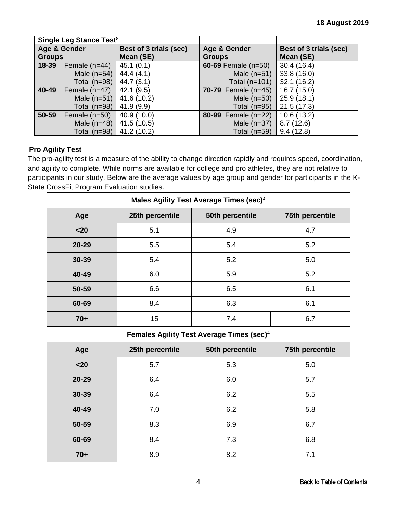<span id="page-3-0"></span>

|               | Single Leg Stance Test <sup>8</sup> |                        |                              |                        |  |
|---------------|-------------------------------------|------------------------|------------------------------|------------------------|--|
| Age & Gender  |                                     | Best of 3 trials (sec) | Age & Gender                 | Best of 3 trials (sec) |  |
| <b>Groups</b> |                                     | Mean (SE)              | <b>Groups</b>                | Mean (SE)              |  |
| 18-39         | Female $(n=44)$                     | 45.1(0.1)              | 60-69 Female $(n=50)$        | 30.4(16.4)             |  |
|               | Male $(n=54)$                       | 44.4(4.1)              | Male $(n=51)$                | 33.8(16.0)             |  |
|               | Total $(n=98)$                      | 44.7(3.1)              | Total $(n=101)$              | 32.1(16.2)             |  |
| 40-49         | Female $(n=47)$                     | 42.1(9.5)              | <b>70-79</b> Female $(n=45)$ | 16.7(15.0)             |  |
|               | Male $(n=51)$                       | 41.6 (10.2)            | Male $(n=50)$                | 25.9(18.1)             |  |
|               | Total $(n=98)$                      | 41.9(9.9)              | Total $(n=95)$               | 21.5(17.3)             |  |
| 50-59         | Female $(n=50)$                     | 40.9 (10.0)            | 80-99 Female (n=22)          | 10.6(13.2)             |  |
|               | Male $(n=48)$                       | 41.5 (10.5)            | Male $(n=37)$                | 8.7(12.6)              |  |
|               | Total $(n=98)$                      | 41.2 (10.2)            | Total $(n=59)$               | 9.4(12.8)              |  |

# **Pro Agility Test**

The pro-agility test is a measure of the ability to change direction rapidly and requires speed, coordination, and agility to complete. While norms are available for college and pro athletes, they are not relative to participants in our study. Below are the average values by age group and gender for participants in the K-State CrossFit Program Evaluation studies.

| Males Agility Test Average Times (sec) <sup>4</sup>   |                 |                 |                 |  |  |  |  |
|-------------------------------------------------------|-----------------|-----------------|-----------------|--|--|--|--|
| Age                                                   | 25th percentile | 50th percentile | 75th percentile |  |  |  |  |
| $20$                                                  | 5.1             | 4.9             | 4.7             |  |  |  |  |
| 20-29                                                 | 5.5             | 5.4             | 5.2             |  |  |  |  |
| 30-39                                                 | 5.4             | 5.2             | 5.0             |  |  |  |  |
| 40-49                                                 | 6.0             | 5.9             | 5.2             |  |  |  |  |
| 50-59                                                 | 6.6             | 6.5             | 6.1             |  |  |  |  |
| 60-69                                                 | 8.4             | 6.3             | 6.1             |  |  |  |  |
| $70+$                                                 | 15              | 7.4             | 6.7             |  |  |  |  |
| Females Agility Test Average Times (sec) <sup>4</sup> |                 |                 |                 |  |  |  |  |
|                                                       |                 |                 |                 |  |  |  |  |
| Age                                                   | 25th percentile | 50th percentile | 75th percentile |  |  |  |  |
| $20$                                                  | 5.7             | 5.3             | 5.0             |  |  |  |  |
| 20-29                                                 | 6.4             | 6.0             | 5.7             |  |  |  |  |
| 30-39                                                 | 6.4             | 6.2             | 5.5             |  |  |  |  |
| 40-49                                                 | 7.0             | 6.2             | 5.8             |  |  |  |  |
| 50-59                                                 | 8.3             | 6.9             | 6.7             |  |  |  |  |
| 60-69                                                 | 8.4             | 7.3             | 6.8             |  |  |  |  |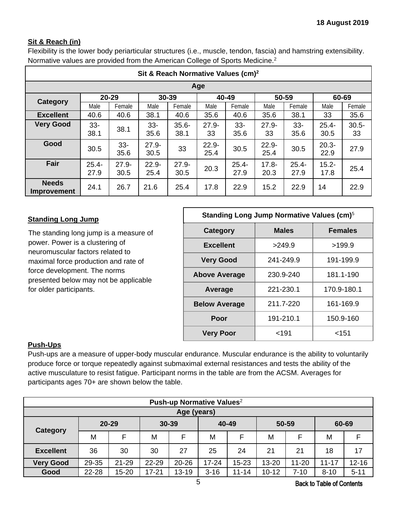# <span id="page-4-0"></span>**Sit & Reach (in)**

Flexibility is the lower body periarticular structures (i.e., muscle, tendon, fascia) and hamstring extensibility. Normative values are provided from the American College of Sports Medicine.2

| Sit & Reach Normative Values (cm) <sup>2</sup> |                  |                  |                  |                  |                  |                  |                  |                  |                  |                |  |
|------------------------------------------------|------------------|------------------|------------------|------------------|------------------|------------------|------------------|------------------|------------------|----------------|--|
| Age                                            |                  |                  |                  |                  |                  |                  |                  |                  |                  |                |  |
| <b>Category</b>                                |                  | 20-29            |                  | 30-39            |                  | 40-49            |                  | 50-59            |                  | 60-69          |  |
|                                                | Male             | Female           | Male             | Female           | Male             | Female           | Male             | Female           | Male             | Female         |  |
| <b>Excellent</b>                               | 40.6             | 40.6             | 38.1             | 40.6             | 35.6             | 40.6             | 35.6             | 38.1             | 33               | 35.6           |  |
| <b>Very Good</b>                               | $33 -$<br>38.1   | 38.1             | $33-$<br>35.6    | $35.6 -$<br>38.1 | $27.9 -$<br>33   | $33 -$<br>35.6   | $27.9 -$<br>33   | $33 -$<br>35.6   | $25.4 -$<br>30.5 | $30.5 -$<br>33 |  |
| Good                                           | 30.5             | $33 -$<br>35.6   | $27.9 -$<br>30.5 | 33               | $22.9 -$<br>25.4 | 30.5             | $22.9 -$<br>25.4 | 30.5             | $20.3 -$<br>22.9 | 27.9           |  |
| Fair                                           | $25.4 -$<br>27.9 | $27.9 -$<br>30.5 | $22.9 -$<br>25.4 | $27.9 -$<br>30.5 | 20.3             | $25.4 -$<br>27.9 | $17.8 -$<br>20.3 | $25.4 -$<br>27.9 | $15.2 -$<br>17.8 | 25.4           |  |
| <b>Needs</b><br><b>Improvement</b>             | 24.1             | 26.7             | 21.6             | 25.4             | 17.8             | 22.9             | 15.2             | 22.9             | 14               | 22.9           |  |

### **Standing Long Jump**

The standing long jump is a measure of power. Power is a clustering of neuromuscular factors related to maximal force production and rate of force development. The norms presented below may not be applicable for older participants.

| Standing Long Jump Normative Values (cm) <sup>5</sup> |              |                |  |  |  |  |  |
|-------------------------------------------------------|--------------|----------------|--|--|--|--|--|
| Category                                              | <b>Males</b> | <b>Females</b> |  |  |  |  |  |
| <b>Excellent</b>                                      | >249.9       | >199.9         |  |  |  |  |  |
| <b>Very Good</b>                                      | 241-249.9    | 191-199.9      |  |  |  |  |  |
| <b>Above Average</b>                                  | 230.9-240    | 181.1-190      |  |  |  |  |  |
| Average                                               | 221-230.1    | 170.9-180.1    |  |  |  |  |  |
| <b>Below Average</b>                                  | 211.7-220    | 161-169.9      |  |  |  |  |  |
| Poor                                                  | 191-210.1    | 150.9-160      |  |  |  |  |  |
| <b>Very Poor</b>                                      | $191$        | <151           |  |  |  |  |  |

# **Push-Ups**

Push-ups are a measure of upper-body muscular endurance. Muscular endurance is the ability to voluntarily produce force or torque repeatedly against submaximal external resistances and tests the ability of the active musculature to resist fatigue. Participant norms in the table are from the ACSM. Averages for participants ages 70+ are shown below the table.

| Push-up Normative Values <sup>2</sup> |             |                    |           |           |           |           |           |           |           |           |
|---------------------------------------|-------------|--------------------|-----------|-----------|-----------|-----------|-----------|-----------|-----------|-----------|
|                                       | Age (years) |                    |           |           |           |           |           |           |           |           |
| Category                              |             | 30-39<br>$20 - 29$ |           |           | 40-49     |           | 50-59     |           | 60-69     |           |
|                                       | M           | E                  | M         | F         | M         | F         | M         |           | М         |           |
| <b>Excellent</b>                      | 36          | 30                 | 30        | 27        | 25        | 24        | 21        | 21        | 18        | 17        |
| <b>Very Good</b>                      | 29-35       | $21 - 29$          | 22-29     | $20 - 26$ | $17 - 24$ | $15 - 23$ | 13-20     | $11 - 20$ | $11 - 17$ | $12 - 16$ |
| Good                                  | 22-28       | 15-20              | $17 - 21$ | $13 - 19$ | $3 - 16$  | $11 - 14$ | $10 - 12$ | $7 - 10$  | $8 - 10$  | $5 - 11$  |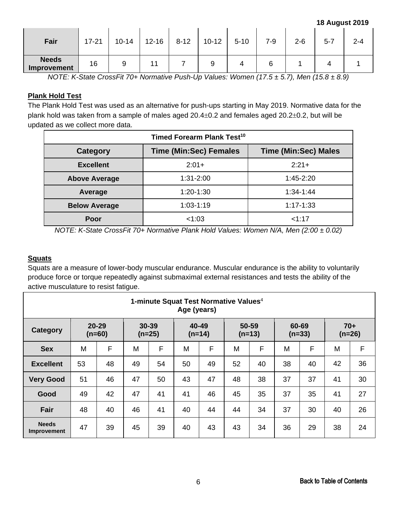#### **18 August 2019**

<span id="page-5-0"></span>

| Fair                        | $17 - 21$ | $10 - 14$ | $12 - 16$ | $8 - 12$ | $10 - 12$ | $5 - 10$ | $7 - 9$ | $2 - 6$ | $5 - 7$ | $2 - 4$ |
|-----------------------------|-----------|-----------|-----------|----------|-----------|----------|---------|---------|---------|---------|
| <b>Needs</b><br>Improvement | 16        |           |           |          | a         |          |         |         |         |         |

*NOTE: K-State CrossFit 70+ Normative Push-Up Values: Women (17.5 ± 5.7), Men (15.8 ± 8.9)* 

### **Plank Hold Test**

The Plank Hold Test was used as an alternative for push-ups starting in May 2019. Normative data for the plank hold was taken from a sample of males aged 20.4±0.2 and females aged 20.2±0.2, but will be updated as we collect more data.

| Timed Forearm Plank Test <sup>10</sup> |                               |                             |  |  |  |  |  |  |
|----------------------------------------|-------------------------------|-----------------------------|--|--|--|--|--|--|
| Category                               | <b>Time (Min:Sec) Females</b> | <b>Time (Min:Sec) Males</b> |  |  |  |  |  |  |
| <b>Excellent</b>                       | $2:01+$                       | $2:21+$                     |  |  |  |  |  |  |
| <b>Above Average</b>                   | $1:31-2:00$                   | $1:45 - 2:20$               |  |  |  |  |  |  |
| Average                                | $1:20-1:30$                   | $1:34-1:44$                 |  |  |  |  |  |  |
| <b>Below Average</b>                   | $1:03-1:19$                   | $1:17 - 1:33$               |  |  |  |  |  |  |
| Poor                                   | < 1:03                        | 1.17                        |  |  |  |  |  |  |

*NOTE: K-State CrossFit 70+ Normative Plank Hold Values: Women N/A, Men (2:00 ± 0.02)*

### **Squats**

Squats are a measure of lower-body muscular endurance. Muscular endurance is the ability to voluntarily produce force or torque repeatedly against submaximal external resistances and tests the ability of the active musculature to resist fatigue.

|                             | 1-minute Squat Test Normative Values <sup>4</sup><br>Age (years) |                       |                   |    |          |       |       |          |    |                   |          |       |
|-----------------------------|------------------------------------------------------------------|-----------------------|-------------------|----|----------|-------|-------|----------|----|-------------------|----------|-------|
| Category                    |                                                                  | $20 - 29$<br>$(n=60)$ | 30-39<br>$(n=25)$ |    | $(n=14)$ | 40-49 | 50-59 | $(n=13)$ |    | 60-69<br>$(n=33)$ | $(n=26)$ | $70+$ |
| <b>Sex</b>                  | M                                                                | F                     | M                 | F  | M        | F     | M     | F        | M  | F                 | M        | F     |
| <b>Excellent</b>            | 53                                                               | 48                    | 49                | 54 | 50       | 49    | 52    | 40       | 38 | 40                | 42       | 36    |
| <b>Very Good</b>            | 51                                                               | 46                    | 47                | 50 | 43       | 47    | 48    | 38       | 37 | 37                | 41       | 30    |
| Good                        | 49                                                               | 42                    | 47                | 41 | 41       | 46    | 45    | 35       | 37 | 35                | 41       | 27    |
| <b>Fair</b>                 | 48                                                               | 40                    | 46                | 41 | 40       | 44    | 44    | 34       | 37 | 30                | 40       | 26    |
| <b>Needs</b><br>Improvement | 47                                                               | 39                    | 45                | 39 | 40       | 43    | 43    | 34       | 36 | 29                | 38       | 24    |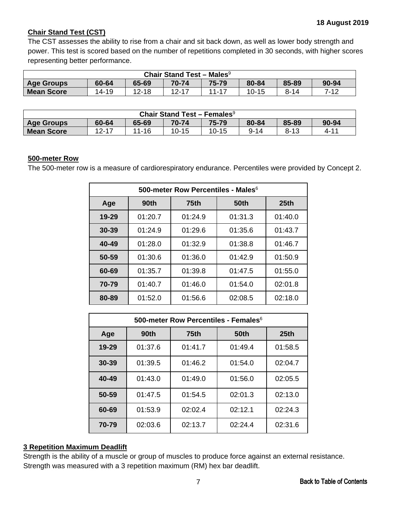# <span id="page-6-0"></span>**Chair Stand Test (CST)**

The CST assesses the ability to rise from a chair and sit back down, as well as lower body strength and power. This test is scored based on the number of repetitions completed in 30 seconds, with higher scores representing better performance.

| Chair Stand Test - Males <sup>9</sup>                                                        |  |  |  |  |  |  |  |
|----------------------------------------------------------------------------------------------|--|--|--|--|--|--|--|
| 85-89<br>75-79<br>65-69<br>80-84<br>60-64<br>70-74<br>90-94<br><b>Age Groups</b>             |  |  |  |  |  |  |  |
| <b>Mean Score</b><br>$12 - 18$<br>7-12<br>$11 - 17$<br>$12-17$<br>10-15<br>14-19<br>$8 - 14$ |  |  |  |  |  |  |  |

| <b>Chair Stand Test - Females<sup>9</sup></b>                                                 |  |  |  |  |  |  |  |  |
|-----------------------------------------------------------------------------------------------|--|--|--|--|--|--|--|--|
| 75-79<br>85-89<br>70-74<br>65-69<br>60-64<br>80-84<br>90-94<br><b>Age Groups</b>              |  |  |  |  |  |  |  |  |
| $11 - 16$<br>12-17<br>$10 - 15$<br><b>Mean Score</b><br>$8 - 13$<br>$10 - 15$<br>4-11<br>9-14 |  |  |  |  |  |  |  |  |

#### **500-meter Row**

The 500-meter row is a measure of cardiorespiratory endurance. Percentiles were provided by Concept 2.

|       | 500-meter Row Percentiles - Males <sup>6</sup> |                             |         |         |  |  |  |  |  |
|-------|------------------------------------------------|-----------------------------|---------|---------|--|--|--|--|--|
| Age   | 90th                                           | <b>75th</b><br>50th<br>25th |         |         |  |  |  |  |  |
| 19-29 | 01:20.7                                        | 01:24.9                     | 01:31.3 | 01:40.0 |  |  |  |  |  |
| 30-39 | 01:24.9                                        | 01:29.6                     | 01:35.6 | 01:43.7 |  |  |  |  |  |
| 40-49 | 01:28.0                                        | 01:32.9                     | 01:38.8 | 01:46.7 |  |  |  |  |  |
| 50-59 | 01:30.6                                        | 01:36.0                     | 01:42.9 | 01:50.9 |  |  |  |  |  |
| 60-69 | 01:35.7                                        | 01:39.8                     | 01:47.5 | 01:55.0 |  |  |  |  |  |
| 70-79 | 01:40.7                                        | 01:46.0                     | 01:54.0 | 02:01.8 |  |  |  |  |  |
| 80-89 | 01:52.0                                        | 01:56.6                     | 02:08.5 | 02:18.0 |  |  |  |  |  |

|           | 500-meter Row Percentiles - Females <sup>6</sup> |              |         |         |  |  |  |  |  |
|-----------|--------------------------------------------------|--------------|---------|---------|--|--|--|--|--|
| Age       | 90th                                             | 50th<br>75th |         |         |  |  |  |  |  |
| $19 - 29$ | 01:37.6                                          | 01:41.7      | 01:49.4 | 01:58.5 |  |  |  |  |  |
| $30 - 39$ | 01:39.5                                          | 01:46.2      | 01:54.0 | 02:04.7 |  |  |  |  |  |
| 40-49     | 01:43.0                                          | 01:49.0      | 01:56.0 | 02:05.5 |  |  |  |  |  |
| 50-59     | 01:47.5                                          | 01:54.5      | 02:01.3 | 02:13.0 |  |  |  |  |  |
| 60-69     | 01:53.9                                          | 02:02.4      | 02:12.1 | 02:24.3 |  |  |  |  |  |
| 70-79     | 02:03.6                                          | 02:13.7      | 02:24.4 | 02:31.6 |  |  |  |  |  |

### **3 Repetition Maximum Deadlift**

Strength is the ability of a muscle or group of muscles to produce force against an external resistance. Strength was measured with a 3 repetition maximum (RM) hex bar deadlift.